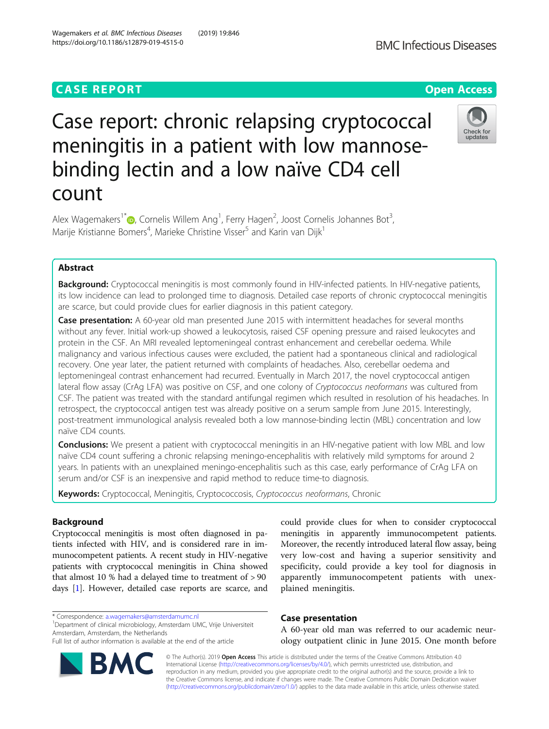## **CASE REPORT CASE ACCESS**

# Case report: chronic relapsing cryptococcal meningitis in a patient with low mannosebinding lectin and a low naïve CD4 cell count

Alex Wagemakers<sup>1\*</sup> D, Cornelis Willem Ang<sup>1</sup>, Ferry Hagen<sup>2</sup>, Joost Cornelis Johannes Bot<sup>3</sup> , Marije Kristianne Bomers<sup>4</sup>, Marieke Christine Visser<sup>5</sup> and Karin van Dijk<sup>1</sup>

## Abstract

Background: Cryptococcal meningitis is most commonly found in HIV-infected patients. In HIV-negative patients, its low incidence can lead to prolonged time to diagnosis. Detailed case reports of chronic cryptococcal meningitis are scarce, but could provide clues for earlier diagnosis in this patient category.

Case presentation: A 60-year old man presented June 2015 with intermittent headaches for several months without any fever. Initial work-up showed a leukocytosis, raised CSF opening pressure and raised leukocytes and protein in the CSF. An MRI revealed leptomeningeal contrast enhancement and cerebellar oedema. While malignancy and various infectious causes were excluded, the patient had a spontaneous clinical and radiological recovery. One year later, the patient returned with complaints of headaches. Also, cerebellar oedema and leptomeningeal contrast enhancement had recurred. Eventually in March 2017, the novel cryptococcal antigen lateral flow assay (CrAg LFA) was positive on CSF, and one colony of Cryptococcus neoformans was cultured from CSF. The patient was treated with the standard antifungal regimen which resulted in resolution of his headaches. In retrospect, the cryptococcal antigen test was already positive on a serum sample from June 2015. Interestingly, post-treatment immunological analysis revealed both a low mannose-binding lectin (MBL) concentration and low naïve CD4 counts.

**Conclusions:** We present a patient with cryptococcal meningitis in an HIV-negative patient with low MBL and low naïve CD4 count suffering a chronic relapsing meningo-encephalitis with relatively mild symptoms for around 2 years. In patients with an unexplained meningo-encephalitis such as this case, early performance of CrAg LFA on serum and/or CSF is an inexpensive and rapid method to reduce time-to diagnosis.

Keywords: Cryptococcal, Meningitis, Cryptococcosis, Cryptococcus neoformans, Chronic

## Background

Cryptococcal meningitis is most often diagnosed in patients infected with HIV, and is considered rare in immunocompetent patients. A recent study in HIV-negative patients with cryptococcal meningitis in China showed that almost 10 % had a delayed time to treatment of > 90 days [[1](#page-3-0)]. However, detailed case reports are scarce, and

\* Correspondence: [a.wagemakers@amsterdamumc.nl](mailto:a.wagemakers@amsterdamumc.nl) <sup>1</sup>

Department of clinical microbiology, Amsterdam UMC, Vrije Universiteit Amsterdam, Amsterdam, the Netherlands

could provide clues for when to consider cryptococcal meningitis in apparently immunocompetent patients. Moreover, the recently introduced lateral flow assay, being very low-cost and having a superior sensitivity and specificity, could provide a key tool for diagnosis in apparently immunocompetent patients with unexplained meningitis.

## Case presentation

A 60-year old man was referred to our academic neurology outpatient clinic in June 2015. One month before

© The Author(s). 2019 Open Access This article is distributed under the terms of the Creative Commons Attribution 4.0 International License [\(http://creativecommons.org/licenses/by/4.0/](http://creativecommons.org/licenses/by/4.0/)), which permits unrestricted use, distribution, and reproduction in any medium, provided you give appropriate credit to the original author(s) and the source, provide a link to the Creative Commons license, and indicate if changes were made. The Creative Commons Public Domain Dedication waiver [\(http://creativecommons.org/publicdomain/zero/1.0/](http://creativecommons.org/publicdomain/zero/1.0/)) applies to the data made available in this article, unless otherwise stated.







Full list of author information is available at the end of the article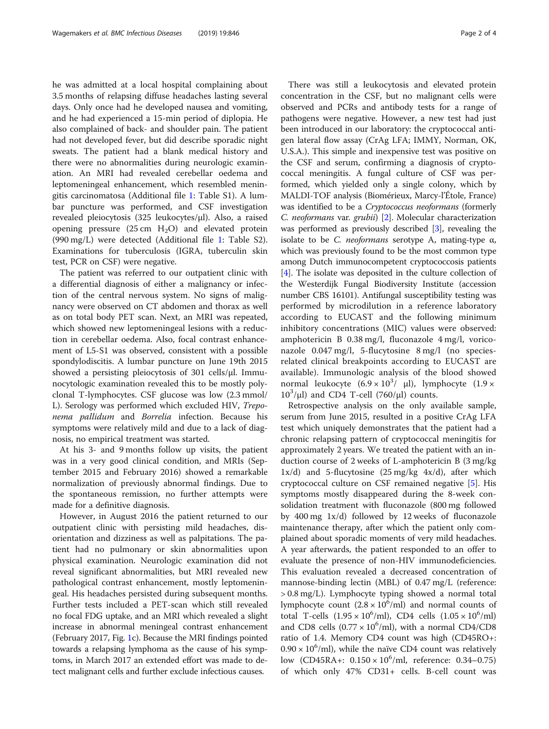he was admitted at a local hospital complaining about 3.5 months of relapsing diffuse headaches lasting several days. Only once had he developed nausea and vomiting, and he had experienced a 15-min period of diplopia. He also complained of back- and shoulder pain. The patient had not developed fever, but did describe sporadic night sweats. The patient had a blank medical history and there were no abnormalities during neurologic examination. An MRI had revealed cerebellar oedema and leptomeningeal enhancement, which resembled meningitis carcinomatosa (Additional file [1:](#page-3-0) Table S1). A lumbar puncture was performed, and CSF investigation revealed pleiocytosis (325 leukocytes/μl). Also, a raised opening pressure  $(25 \text{ cm } H_2O)$  and elevated protein (990 mg/L) were detected (Additional file [1](#page-3-0): Table S2). Examinations for tuberculosis (IGRA, tuberculin skin test, PCR on CSF) were negative.

The patient was referred to our outpatient clinic with a differential diagnosis of either a malignancy or infection of the central nervous system. No signs of malignancy were observed on CT abdomen and thorax as well as on total body PET scan. Next, an MRI was repeated, which showed new leptomeningeal lesions with a reduction in cerebellar oedema. Also, focal contrast enhancement of L5-S1 was observed, consistent with a possible spondylodiscitis. A lumbar puncture on June 19th 2015 showed a persisting pleiocytosis of 301 cells/μl. Immunocytologic examination revealed this to be mostly polyclonal T-lymphocytes. CSF glucose was low (2.3 mmol/ L). Serology was performed which excluded HIV, Treponema pallidum and Borrelia infection. Because his symptoms were relatively mild and due to a lack of diagnosis, no empirical treatment was started.

At his 3- and 9 months follow up visits, the patient was in a very good clinical condition, and MRIs (September 2015 and February 2016) showed a remarkable normalization of previously abnormal findings. Due to the spontaneous remission, no further attempts were made for a definitive diagnosis.

However, in August 2016 the patient returned to our outpatient clinic with persisting mild headaches, disorientation and dizziness as well as palpitations. The patient had no pulmonary or skin abnormalities upon physical examination. Neurologic examination did not reveal significant abnormalities, but MRI revealed new pathological contrast enhancement, mostly leptomeningeal. His headaches persisted during subsequent months. Further tests included a PET-scan which still revealed no focal FDG uptake, and an MRI which revealed a slight increase in abnormal meningeal contrast enhancement (February 2017, Fig. [1](#page-2-0)c). Because the MRI findings pointed towards a relapsing lymphoma as the cause of his symptoms, in March 2017 an extended effort was made to detect malignant cells and further exclude infectious causes.

There was still a leukocytosis and elevated protein concentration in the CSF, but no malignant cells were observed and PCRs and antibody tests for a range of pathogens were negative. However, a new test had just been introduced in our laboratory: the cryptococcal antigen lateral flow assay (CrAg LFA; IMMY, Norman, OK, U.S.A.). This simple and inexpensive test was positive on the CSF and serum, confirming a diagnosis of cryptococcal meningitis. A fungal culture of CSF was performed, which yielded only a single colony, which by MALDI-TOF analysis (Biomérieux, Marcy-l'Étole, France) was identified to be a Cryptococcus neoformans (formerly C. neoformans var. grubii) [[2\]](#page-3-0). Molecular characterization was performed as previously described [[3\]](#page-3-0), revealing the isolate to be C. *neoformans* serotype A, mating-type  $\alpha$ , which was previously found to be the most common type among Dutch immunocompetent cryptococcosis patients [[4\]](#page-3-0). The isolate was deposited in the culture collection of the Westerdijk Fungal Biodiversity Institute (accession number CBS 16101). Antifungal susceptibility testing was performed by microdilution in a reference laboratory according to EUCAST and the following minimum inhibitory concentrations (MIC) values were observed: amphotericin B 0.38 mg/l, fluconazole 4 mg/l, voriconazole 0.047 mg/l, 5-flucytosine 8 mg/l (no speciesrelated clinical breakpoints according to EUCAST are available). Immunologic analysis of the blood showed normal leukocyte  $(6.9 \times 10^3/ \text{ \mu})$ , lymphocyte  $(1.9 \times$  $10^3/\mu$ l) and CD4 T-cell (760/ $\mu$ l) counts.

Retrospective analysis on the only available sample, serum from June 2015, resulted in a positive CrAg LFA test which uniquely demonstrates that the patient had a chronic relapsing pattern of cryptococcal meningitis for approximately 2 years. We treated the patient with an induction course of 2 weeks of L-amphotericin B (3 mg/kg 1x/d) and 5-flucytosine (25 mg/kg 4x/d), after which cryptococcal culture on CSF remained negative [[5](#page-3-0)]. His symptoms mostly disappeared during the 8-week consolidation treatment with fluconazole (800 mg followed by 400 mg 1x/d) followed by 12 weeks of fluconazole maintenance therapy, after which the patient only complained about sporadic moments of very mild headaches. A year afterwards, the patient responded to an offer to evaluate the presence of non-HIV immunodeficiencies. This evaluation revealed a decreased concentration of mannose-binding lectin (MBL) of 0.47 mg/L (reference: > 0.8 mg/L). Lymphocyte typing showed a normal total lymphocyte count  $(2.8 \times 10^6/\text{ml})$  and normal counts of total T-cells  $(1.95 \times 10^6/\text{ml})$ , CD4 cells  $(1.05 \times 10^6/\text{ml})$ and CD8 cells  $(0.77 \times 10^6/\text{ml})$ , with a normal CD4/CD8 ratio of 1.4. Memory CD4 count was high (CD45RO+:  $0.90 \times 10^6$ /ml), while the naïve CD4 count was relatively low (CD45RA+:  $0.150 \times 10^6$ /ml, reference: 0.34-0.75) of which only 47% CD31+ cells. B-cell count was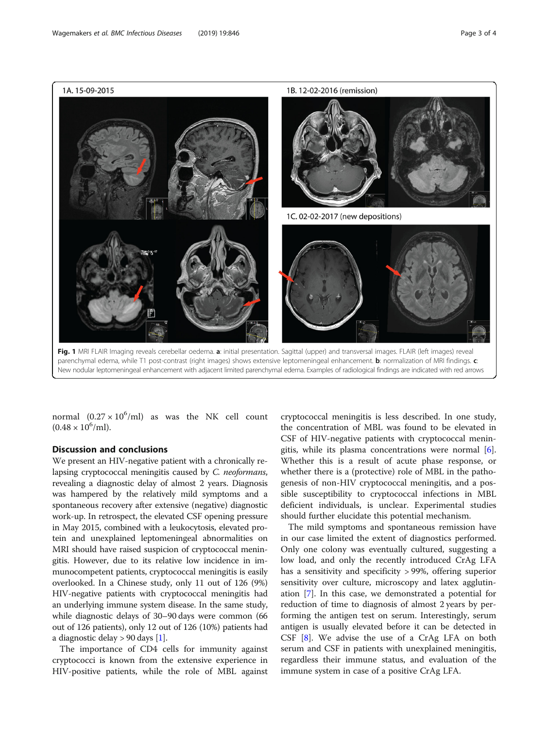<span id="page-2-0"></span>

parenchymal edema, while T1 post-contrast (right images) shows extensive leptomeningeal enhancement. **b**: normalization of MRI findings. c: New nodular leptomeningeal enhancement with adjacent limited parenchymal edema. Examples of radiological findings are indicated with red arrows

normal  $(0.27 \times 10^6/\text{ml})$  as was the NK cell count  $(0.48 \times 10^6$ /ml).

## Discussion and conclusions

We present an HIV-negative patient with a chronically relapsing cryptococcal meningitis caused by C. neoformans, revealing a diagnostic delay of almost 2 years. Diagnosis was hampered by the relatively mild symptoms and a spontaneous recovery after extensive (negative) diagnostic work-up. In retrospect, the elevated CSF opening pressure in May 2015, combined with a leukocytosis, elevated protein and unexplained leptomeningeal abnormalities on MRI should have raised suspicion of cryptococcal meningitis. However, due to its relative low incidence in immunocompetent patients, cryptococcal meningitis is easily overlooked. In a Chinese study, only 11 out of 126 (9%) HIV-negative patients with cryptococcal meningitis had an underlying immune system disease. In the same study, while diagnostic delays of 30–90 days were common (66 out of 126 patients), only 12 out of 126 (10%) patients had a diagnostic delay > 90 days [[1\]](#page-3-0).

The importance of CD4 cells for immunity against cryptococci is known from the extensive experience in HIV-positive patients, while the role of MBL against

cryptococcal meningitis is less described. In one study, the concentration of MBL was found to be elevated in CSF of HIV-negative patients with cryptococcal meningitis, while its plasma concentrations were normal [\[6](#page-3-0)]. Whether this is a result of acute phase response, or whether there is a (protective) role of MBL in the pathogenesis of non-HIV cryptococcal meningitis, and a possible susceptibility to cryptococcal infections in MBL deficient individuals, is unclear. Experimental studies should further elucidate this potential mechanism.

The mild symptoms and spontaneous remission have in our case limited the extent of diagnostics performed. Only one colony was eventually cultured, suggesting a low load, and only the recently introduced CrAg LFA has a sensitivity and specificity > 99%, offering superior sensitivity over culture, microscopy and latex agglutination [[7\]](#page-3-0). In this case, we demonstrated a potential for reduction of time to diagnosis of almost 2 years by performing the antigen test on serum. Interestingly, serum antigen is usually elevated before it can be detected in CSF [[8\]](#page-3-0). We advise the use of a CrAg LFA on both serum and CSF in patients with unexplained meningitis, regardless their immune status, and evaluation of the immune system in case of a positive CrAg LFA.